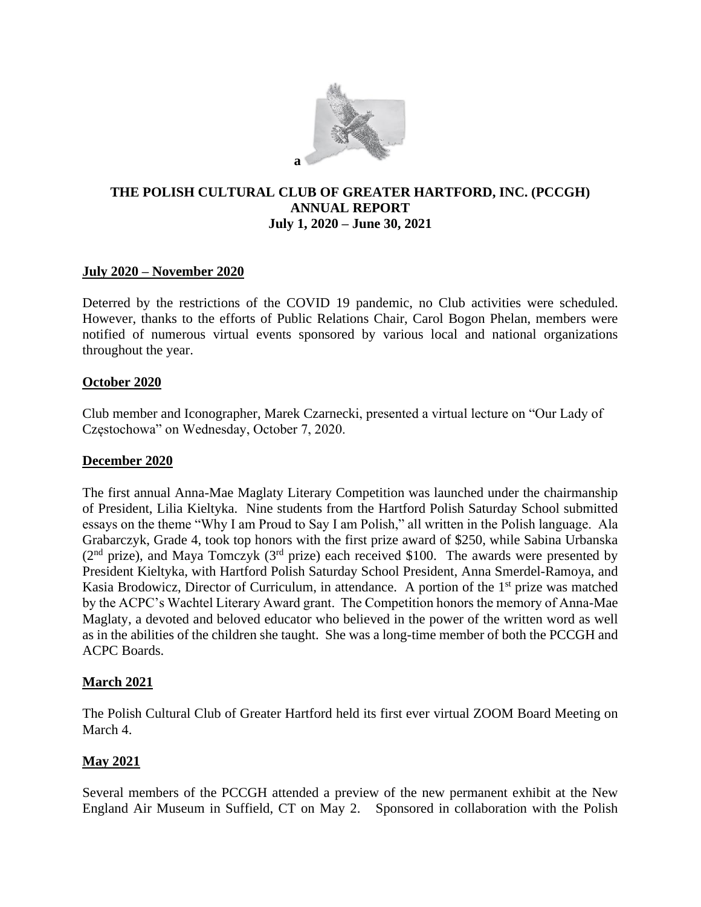

# **THE POLISH CULTURAL CLUB OF GREATER HARTFORD, INC. (PCCGH) ANNUAL REPORT July 1, 2020 – June 30, 2021**

## **July 2020 – November 2020**

Deterred by the restrictions of the COVID 19 pandemic, no Club activities were scheduled. However, thanks to the efforts of Public Relations Chair, Carol Bogon Phelan, members were notified of numerous virtual events sponsored by various local and national organizations throughout the year.

### **October 2020**

Club member and Iconographer, Marek Czarnecki, presented a virtual lecture on "Our Lady of Częstochowa" on Wednesday, October 7, 2020.

### **December 2020**

The first annual Anna-Mae Maglaty Literary Competition was launched under the chairmanship of President, Lilia Kieltyka. Nine students from the Hartford Polish Saturday School submitted essays on the theme "Why I am Proud to Say I am Polish," all written in the Polish language. Ala Grabarczyk, Grade 4, took top honors with the first prize award of \$250, while Sabina Urbanska  $(2<sup>nd</sup> prize)$ , and Maya Tomczyk  $(3<sup>rd</sup> prize)$  each received \$100. The awards were presented by President Kieltyka, with Hartford Polish Saturday School President, Anna Smerdel-Ramoya, and Kasia Brodowicz, Director of Curriculum, in attendance. A portion of the 1<sup>st</sup> prize was matched by the ACPC's Wachtel Literary Award grant. The Competition honors the memory of Anna-Mae Maglaty, a devoted and beloved educator who believed in the power of the written word as well as in the abilities of the children she taught. She was a long-time member of both the PCCGH and ACPC Boards.

### **March 2021**

The Polish Cultural Club of Greater Hartford held its first ever virtual ZOOM Board Meeting on March 4.

# **May 2021**

Several members of the PCCGH attended a preview of the new permanent exhibit at the New England Air Museum in Suffield, CT on May 2. Sponsored in collaboration with the Polish